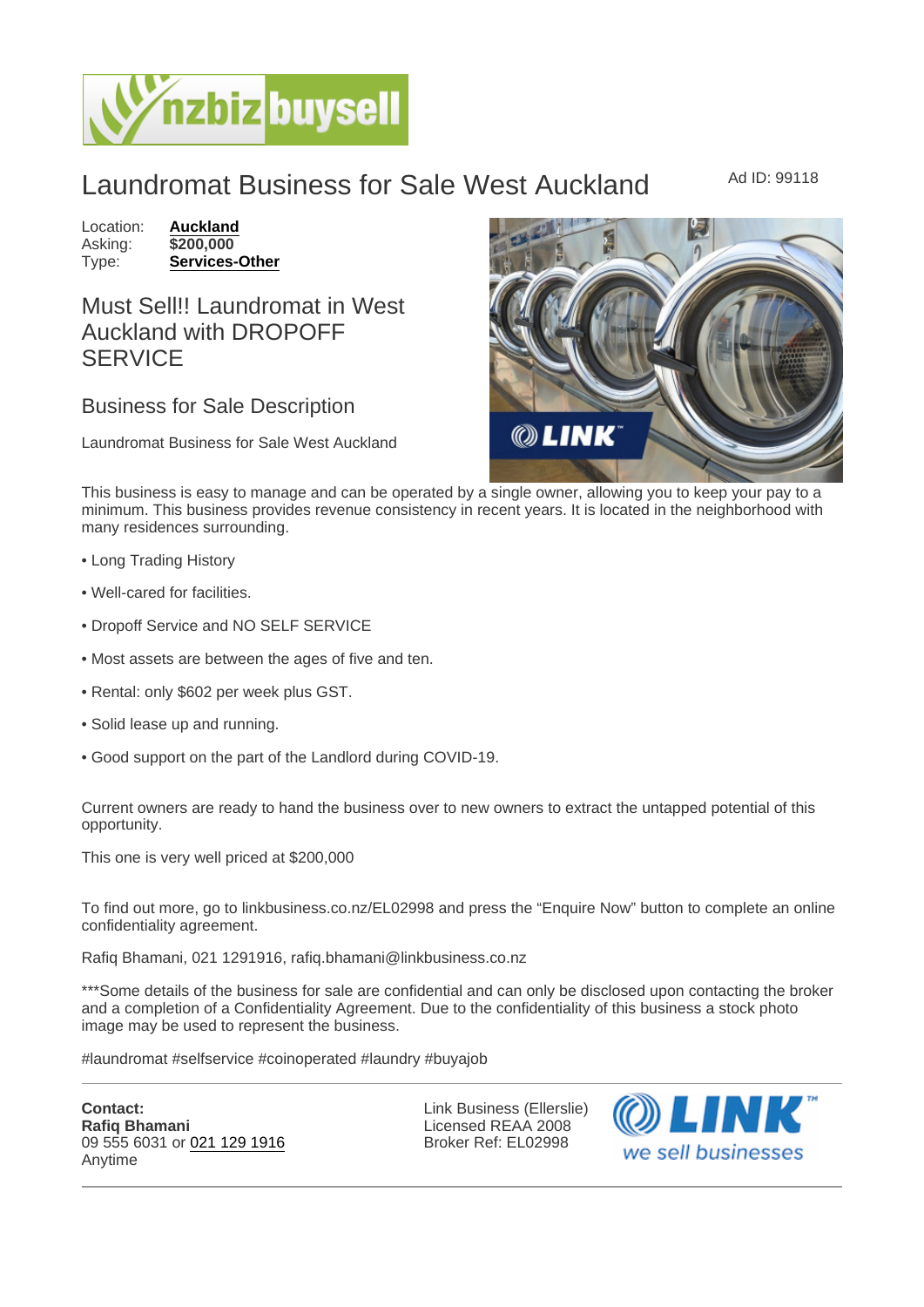## Laundromat Business for Sale West Auckland Ad ID: 99118

Location: [Auckland](https://www.nzbizbuysell.co.nz/businesses-for-sale/location/Auckland) Asking: \$200,000<br>Type: **Services-0** [Services-Other](https://www.nzbizbuysell.co.nz/businesses-for-sale/Services/New-Zealand)

## Must Sell!! Laundromat in West Auckland with DROPOFF **SERVICE**

## Business for Sale Description

Laundromat Business for Sale West Auckland

This business is easy to manage and can be operated by a single owner, allowing you to keep your pay to a minimum. This business provides revenue consistency in recent years. It is located in the neighborhood with many residences surrounding.

- Long Trading History
- Well-cared for facilities.
- Dropoff Service and NO SELF SERVICE
- Most assets are between the ages of five and ten.
- Rental: only \$602 per week plus GST.
- Solid lease up and running.
- Good support on the part of the Landlord during COVID-19.

Current owners are ready to hand the business over to new owners to extract the untapped potential of this opportunity.

This one is very well priced at \$200,000

To find out more, go to linkbusiness.co.nz/EL02998 and press the "Enquire Now" button to complete an online confidentiality agreement.

Rafiq Bhamani, 021 1291916, rafiq.bhamani@linkbusiness.co.nz

\*\*\*Some details of the business for sale are confidential and can only be disclosed upon contacting the broker and a completion of a Confidentiality Agreement. Due to the confidentiality of this business a stock photo image may be used to represent the business.

#laundromat #selfservice #coinoperated #laundry #buyajob

Contact: Rafiq Bhamani 09 555 6031 or [021 129 1916](tel:021 129 1916) Anytime

Link Business (Ellerslie) Licensed REAA 2008 Broker Ref: EL02998